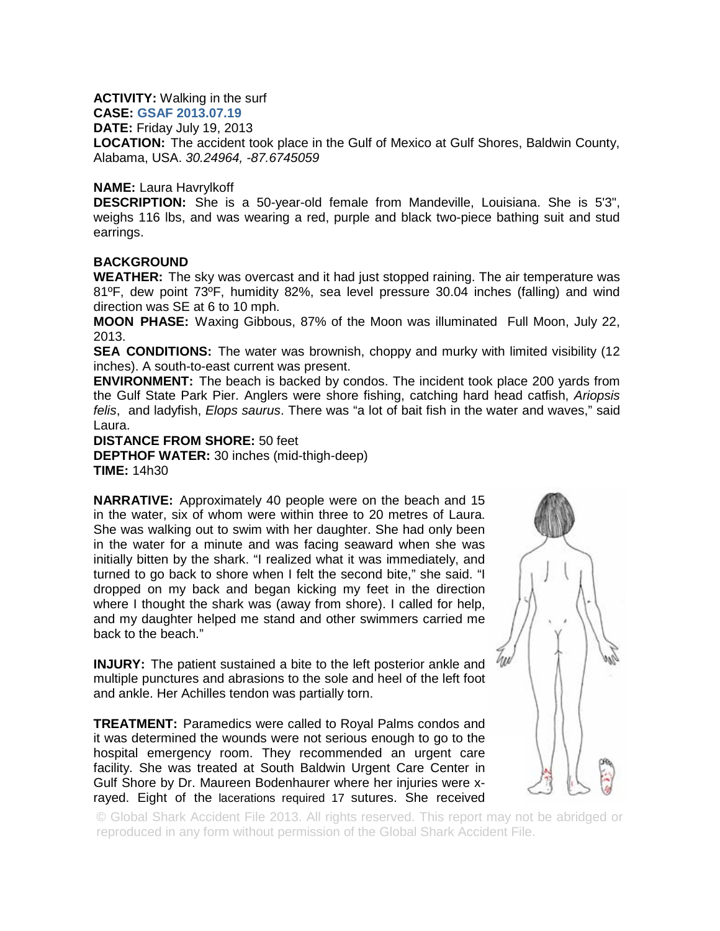**ACTIVITY:** Walking in the surf

**CASE: GSAF 2013.07.19**

**DATE:** Friday July 19, 2013

**LOCATION:** The accident took place in the Gulf of Mexico at Gulf Shores, Baldwin County, Alabama, USA. *30.24964, -87.6745059*

## **NAME:** Laura Havrylkoff

**DESCRIPTION:** She is a 50-year-old female from Mandeville, Louisiana. She is 5'3", weighs 116 lbs, and was wearing a red, purple and black two-piece bathing suit and stud earrings.

## **BACKGROUND**

**WEATHER:** The sky was overcast and it had just stopped raining. The air temperature was 81ºF, dew point 73ºF, humidity 82%, sea level pressure 30.04 inches (falling) and wind direction was SE at 6 to 10 mph.

**MOON PHASE:** Waxing Gibbous, 87% of the Moon was illuminated Full Moon, July 22, 2013.

**SEA CONDITIONS:** The water was brownish, choppy and murky with limited visibility (12) inches). A south-to-east current was present.

**ENVIRONMENT:** The beach is backed by condos. The incident took place 200 yards from the Gulf State Park Pier. Anglers were shore fishing, catching hard head catfish, *Ariopsis felis*, and ladyfish, *Elops saurus*. There was "a lot of bait fish in the water and waves," said Laura.

## **DISTANCE FROM SHORE:** 50 feet

**DEPTHOF WATER:** 30 inches (mid-thigh-deep) **TIME:** 14h30

**NARRATIVE:** Approximately 40 people were on the beach and 15 in the water, six of whom were within three to 20 metres of Laura. She was walking out to swim with her daughter. She had only been in the water for a minute and was facing seaward when she was initially bitten by the shark. "I realized what it was immediately, and turned to go back to shore when I felt the second bite," she said. "I dropped on my back and began kicking my feet in the direction where I thought the shark was (away from shore). I called for help, and my daughter helped me stand and other swimmers carried me back to the beach."

**INJURY:** The patient sustained a bite to the left posterior ankle and multiple punctures and abrasions to the sole and heel of the left foot and ankle. Her Achilles tendon was partially torn.

**TREATMENT:** Paramedics were called to Royal Palms condos and it was determined the wounds were not serious enough to go to the hospital emergency room. They recommended an urgent care facility. She was treated at South Baldwin Urgent Care Center in Gulf Shore by Dr. Maureen Bodenhaurer where her injuries were xrayed. Eight of the lacerations required 17 sutures. She received



© Global Shark Accident File 2013. All rights reserved. This report may not be abridged or reproduced in any form without permission of the Global Shark Accident File.